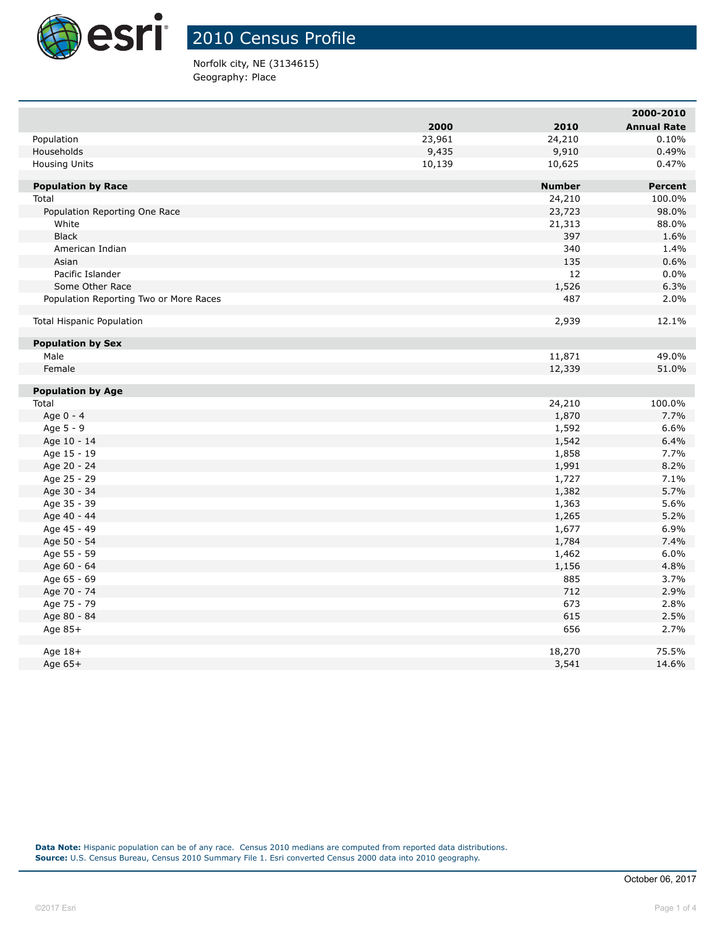

Norfolk city, NE (3134615) Geography: Place

|                                        |        |                | 2000-2010          |
|----------------------------------------|--------|----------------|--------------------|
|                                        | 2000   | 2010           | <b>Annual Rate</b> |
| Population                             | 23,961 | 24,210         | 0.10%              |
| Households                             | 9,435  | 9,910          | 0.49%              |
| <b>Housing Units</b>                   | 10,139 | 10,625         | 0.47%              |
|                                        |        |                |                    |
| <b>Population by Race</b>              |        | <b>Number</b>  | <b>Percent</b>     |
| Total                                  |        | 24,210         | 100.0%             |
| Population Reporting One Race          |        | 23,723         | 98.0%              |
| White                                  |        | 21,313         | 88.0%              |
| <b>Black</b>                           |        | 397            | 1.6%               |
| American Indian                        |        | 340            | 1.4%               |
| Asian                                  |        | 135            | 0.6%               |
| Pacific Islander                       |        | 12             | 0.0%               |
| Some Other Race                        |        | 1,526          | 6.3%               |
| Population Reporting Two or More Races |        | 487            | 2.0%               |
| <b>Total Hispanic Population</b>       |        | 2,939          | 12.1%              |
|                                        |        |                |                    |
| <b>Population by Sex</b>               |        |                |                    |
| Male                                   |        | 11,871         | 49.0%              |
| Female                                 |        | 12,339         | 51.0%              |
| <b>Population by Age</b>               |        |                |                    |
| Total                                  |        | 24,210         | 100.0%             |
| Age 0 - 4                              |        | 1,870          | 7.7%               |
| Age 5 - 9                              |        | 1,592          | 6.6%               |
| Age 10 - 14                            |        | 1,542          | 6.4%               |
| Age 15 - 19                            |        | 1,858          | 7.7%               |
| Age 20 - 24                            |        | 1,991          | 8.2%               |
| Age 25 - 29                            |        | 1,727          | 7.1%               |
| Age 30 - 34                            |        | 1,382          | 5.7%               |
| Age 35 - 39                            |        | 1,363          | 5.6%               |
| Age 40 - 44                            |        |                | 5.2%               |
| Age 45 - 49                            |        | 1,265<br>1,677 | 6.9%               |
|                                        |        | 1,784          | 7.4%               |
| Age 50 - 54<br>Age 55 - 59             |        |                | 6.0%               |
|                                        |        | 1,462          |                    |
| Age 60 - 64                            |        | 1,156<br>885   | 4.8%               |
| Age 65 - 69                            |        |                | 3.7%               |
| Age 70 - 74                            |        | 712<br>673     | 2.9%<br>2.8%       |
| Age 75 - 79                            |        | 615            | 2.5%               |
| Age 80 - 84                            |        | 656            | 2.7%               |
| Age 85+                                |        |                |                    |
| Age $18+$                              |        | 18,270         | 75.5%              |
| Age $65+$                              |        | 3,541          | 14.6%              |
|                                        |        |                |                    |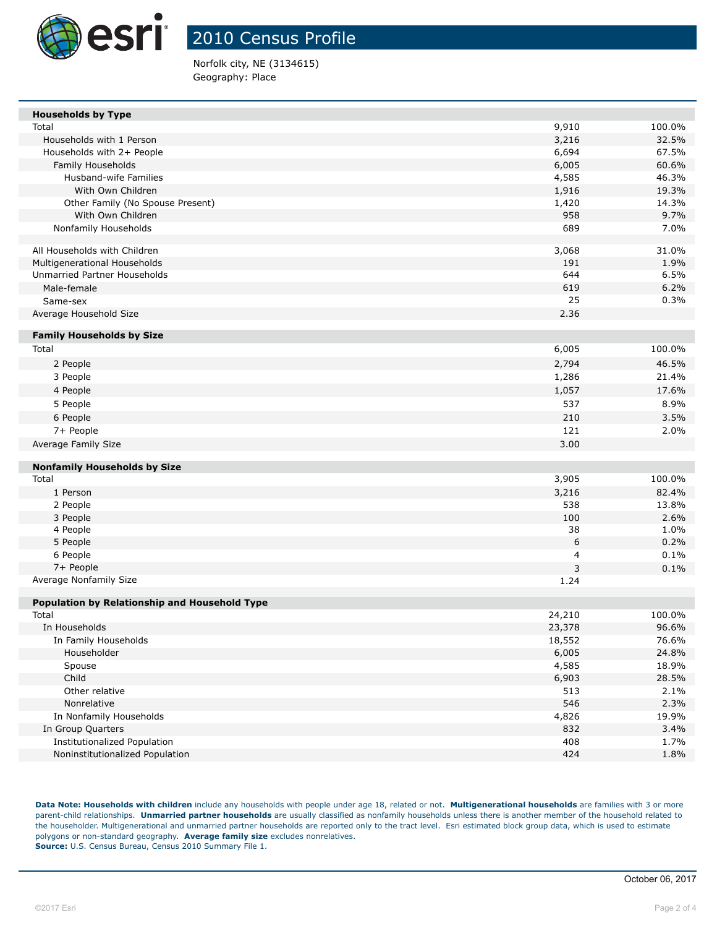

Norfolk city, NE (3134615) Geography: Place

| 9,910<br>100.0%<br>Total<br>Households with 1 Person<br>3,216<br>32.5%<br>6,694<br>67.5%<br>Households with 2+ People<br>Family Households<br>6,005<br>60.6%<br>46.3%<br><b>Husband-wife Families</b><br>4,585<br>1,916<br>19.3%<br>With Own Children<br>1,420<br>14.3%<br>Other Family (No Spouse Present)<br>958<br>9.7%<br>With Own Children<br>Nonfamily Households<br>689<br>7.0%<br>All Households with Children<br>3,068<br>31.0%<br>Multigenerational Households<br>191<br>1.9% |
|-----------------------------------------------------------------------------------------------------------------------------------------------------------------------------------------------------------------------------------------------------------------------------------------------------------------------------------------------------------------------------------------------------------------------------------------------------------------------------------------|
|                                                                                                                                                                                                                                                                                                                                                                                                                                                                                         |
|                                                                                                                                                                                                                                                                                                                                                                                                                                                                                         |
|                                                                                                                                                                                                                                                                                                                                                                                                                                                                                         |
|                                                                                                                                                                                                                                                                                                                                                                                                                                                                                         |
|                                                                                                                                                                                                                                                                                                                                                                                                                                                                                         |
|                                                                                                                                                                                                                                                                                                                                                                                                                                                                                         |
|                                                                                                                                                                                                                                                                                                                                                                                                                                                                                         |
|                                                                                                                                                                                                                                                                                                                                                                                                                                                                                         |
|                                                                                                                                                                                                                                                                                                                                                                                                                                                                                         |
|                                                                                                                                                                                                                                                                                                                                                                                                                                                                                         |
|                                                                                                                                                                                                                                                                                                                                                                                                                                                                                         |
| Unmarried Partner Households<br>644<br>6.5%                                                                                                                                                                                                                                                                                                                                                                                                                                             |
| 619<br>6.2%<br>Male-female                                                                                                                                                                                                                                                                                                                                                                                                                                                              |
| 25<br>0.3%<br>Same-sex                                                                                                                                                                                                                                                                                                                                                                                                                                                                  |
| 2.36<br>Average Household Size                                                                                                                                                                                                                                                                                                                                                                                                                                                          |
|                                                                                                                                                                                                                                                                                                                                                                                                                                                                                         |
| <b>Family Households by Size</b>                                                                                                                                                                                                                                                                                                                                                                                                                                                        |
| Total<br>6,005<br>100.0%                                                                                                                                                                                                                                                                                                                                                                                                                                                                |
| 2,794<br>46.5%<br>2 People                                                                                                                                                                                                                                                                                                                                                                                                                                                              |
| 1,286<br>3 People<br>21.4%                                                                                                                                                                                                                                                                                                                                                                                                                                                              |
| 4 People<br>1,057<br>17.6%                                                                                                                                                                                                                                                                                                                                                                                                                                                              |
| 537<br>5 People<br>8.9%                                                                                                                                                                                                                                                                                                                                                                                                                                                                 |
| 210<br>6 People<br>3.5%                                                                                                                                                                                                                                                                                                                                                                                                                                                                 |
| 121<br>7+ People<br>2.0%                                                                                                                                                                                                                                                                                                                                                                                                                                                                |
| 3.00<br>Average Family Size                                                                                                                                                                                                                                                                                                                                                                                                                                                             |
|                                                                                                                                                                                                                                                                                                                                                                                                                                                                                         |
| <b>Nonfamily Households by Size</b>                                                                                                                                                                                                                                                                                                                                                                                                                                                     |
| 3,905<br>Total<br>100.0%                                                                                                                                                                                                                                                                                                                                                                                                                                                                |
| 3,216<br>82.4%<br>1 Person                                                                                                                                                                                                                                                                                                                                                                                                                                                              |
| 538<br>13.8%<br>2 People                                                                                                                                                                                                                                                                                                                                                                                                                                                                |
| 100<br>2.6%<br>3 People                                                                                                                                                                                                                                                                                                                                                                                                                                                                 |
| 4 People<br>38<br>1.0%                                                                                                                                                                                                                                                                                                                                                                                                                                                                  |
| 6<br>5 People<br>0.2%                                                                                                                                                                                                                                                                                                                                                                                                                                                                   |
| 0.1%<br>6 People<br>4                                                                                                                                                                                                                                                                                                                                                                                                                                                                   |
| 7+ People<br>3<br>0.1%                                                                                                                                                                                                                                                                                                                                                                                                                                                                  |
| Average Nonfamily Size<br>1.24                                                                                                                                                                                                                                                                                                                                                                                                                                                          |
| Population by Relationship and Household Type                                                                                                                                                                                                                                                                                                                                                                                                                                           |
| Total<br>24,210<br>100.0%                                                                                                                                                                                                                                                                                                                                                                                                                                                               |
| In Households<br>23,378<br>96.6%                                                                                                                                                                                                                                                                                                                                                                                                                                                        |
| In Family Households<br>18,552<br>76.6%                                                                                                                                                                                                                                                                                                                                                                                                                                                 |
| 6,005<br>24.8%<br>Householder                                                                                                                                                                                                                                                                                                                                                                                                                                                           |
| Spouse<br>4,585<br>18.9%                                                                                                                                                                                                                                                                                                                                                                                                                                                                |
| Child<br>6,903<br>28.5%                                                                                                                                                                                                                                                                                                                                                                                                                                                                 |
| Other relative<br>513<br>2.1%                                                                                                                                                                                                                                                                                                                                                                                                                                                           |
| 546<br>Nonrelative<br>2.3%                                                                                                                                                                                                                                                                                                                                                                                                                                                              |
| 4,826<br>19.9%<br>In Nonfamily Households                                                                                                                                                                                                                                                                                                                                                                                                                                               |
| In Group Quarters<br>832<br>3.4%                                                                                                                                                                                                                                                                                                                                                                                                                                                        |
| Institutionalized Population<br>408<br>1.7%                                                                                                                                                                                                                                                                                                                                                                                                                                             |
| Noninstitutionalized Population<br>424<br>1.8%                                                                                                                                                                                                                                                                                                                                                                                                                                          |

**Data Note: Households with children** include any households with people under age 18, related or not. **Multigenerational households** are families with 3 or more parent-child relationships. **Unmarried partner households** are usually classified as nonfamily households unless there is another member of the household related to the householder. Multigenerational and unmarried partner households are reported only to the tract level. Esri estimated block group data, which is used to estimate polygons or non-standard geography. **Average family size** excludes nonrelatives. **Source:** U.S. Census Bureau, Census 2010 Summary File 1.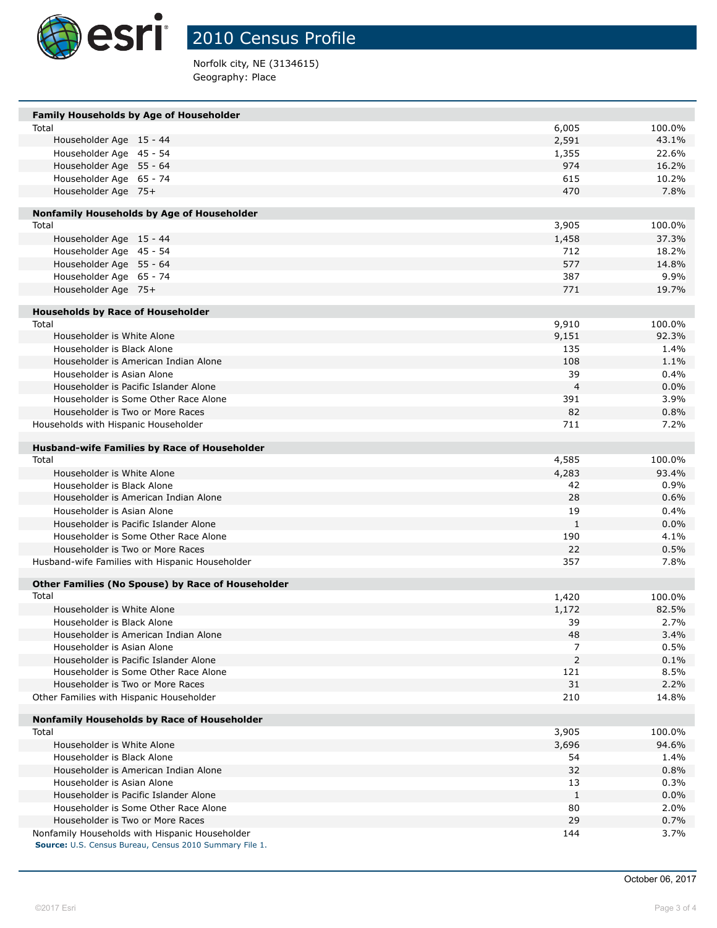

Norfolk city, NE (3134615) Geography: Place

| <b>Family Households by Age of Householder</b>                                                            |                |        |
|-----------------------------------------------------------------------------------------------------------|----------------|--------|
| Total                                                                                                     | 6,005          | 100.0% |
| Householder Age 15 - 44                                                                                   | 2,591          | 43.1%  |
| Householder Age 45 - 54                                                                                   | 1,355          | 22.6%  |
| Householder Age 55 - 64                                                                                   | 974            | 16.2%  |
| Householder Age 65 - 74                                                                                   | 615            | 10.2%  |
| Householder Age 75+                                                                                       | 470            | 7.8%   |
| Nonfamily Households by Age of Householder                                                                |                |        |
| Total                                                                                                     | 3,905          | 100.0% |
| Householder Age 15 - 44                                                                                   | 1,458          | 37.3%  |
| Householder Age 45 - 54                                                                                   | 712            | 18.2%  |
| Householder Age 55 - 64                                                                                   | 577            | 14.8%  |
| Householder Age 65 - 74                                                                                   | 387            | 9.9%   |
| Householder Age 75+                                                                                       | 771            | 19.7%  |
| <b>Households by Race of Householder</b>                                                                  |                |        |
| Total                                                                                                     | 9,910          | 100.0% |
| Householder is White Alone                                                                                | 9,151          | 92.3%  |
| Householder is Black Alone                                                                                | 135            | 1.4%   |
| Householder is American Indian Alone                                                                      | 108            | 1.1%   |
| Householder is Asian Alone                                                                                | 39             | 0.4%   |
| Householder is Pacific Islander Alone                                                                     | $\overline{4}$ | 0.0%   |
| Householder is Some Other Race Alone                                                                      | 391            | 3.9%   |
| Householder is Two or More Races                                                                          | 82             | 0.8%   |
| Households with Hispanic Householder                                                                      | 711            | 7.2%   |
| <b>Husband-wife Families by Race of Householder</b>                                                       |                |        |
| Total                                                                                                     | 4,585          | 100.0% |
| Householder is White Alone                                                                                | 4,283          | 93.4%  |
| Householder is Black Alone                                                                                | 42             | 0.9%   |
| Householder is American Indian Alone                                                                      | 28             | 0.6%   |
| Householder is Asian Alone                                                                                | 19             | 0.4%   |
| Householder is Pacific Islander Alone                                                                     | 1              | 0.0%   |
| Householder is Some Other Race Alone                                                                      | 190            | 4.1%   |
| Householder is Two or More Races                                                                          | 22             | 0.5%   |
| Husband-wife Families with Hispanic Householder                                                           | 357            | 7.8%   |
| <b>Other Families (No Spouse) by Race of Householder</b>                                                  |                |        |
| Total                                                                                                     | 1,420          | 100.0% |
| Householder is White Alone                                                                                | 1,172          | 82.5%  |
| Householder is Black Alone                                                                                | 39             | 2.7%   |
| Householder is American Indian Alone                                                                      | 48             | 3.4%   |
| Householder is Asian Alone                                                                                | 7              | 0.5%   |
| Householder is Pacific Islander Alone                                                                     | $\overline{2}$ | 0.1%   |
| Householder is Some Other Race Alone                                                                      | 121            | 8.5%   |
| Householder is Two or More Races                                                                          | 31             | 2.2%   |
| Other Families with Hispanic Householder                                                                  | 210            | 14.8%  |
| Nonfamily Households by Race of Householder                                                               |                |        |
| Total                                                                                                     | 3,905          | 100.0% |
| Householder is White Alone                                                                                | 3,696          | 94.6%  |
| Householder is Black Alone                                                                                | 54             | 1.4%   |
| Householder is American Indian Alone                                                                      | 32             | 0.8%   |
| Householder is Asian Alone                                                                                | 13             | 0.3%   |
| Householder is Pacific Islander Alone                                                                     | $\mathbf{1}$   | 0.0%   |
| Householder is Some Other Race Alone                                                                      | 80             | 2.0%   |
| Householder is Two or More Races                                                                          | 29             | 0.7%   |
| Nonfamily Households with Hispanic Householder<br>Source: U.S. Census Bureau, Census 2010 Summary File 1. | 144            | 3.7%   |